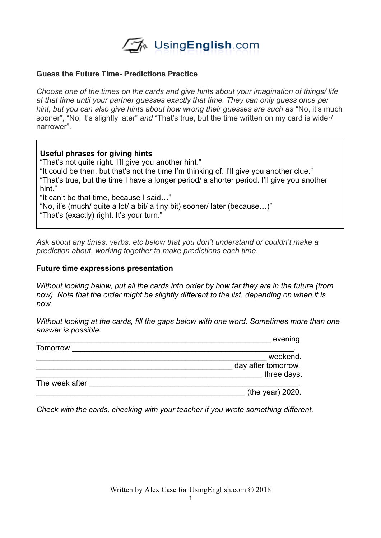

## **Guess the Future Time- Predictions Practice**

*Choose one of the times on the cards and give hints about your imagination of things/ life at that time until your partner guesses exactly that time. They can only guess once per hint, but you can also give hints about how wrong their guesses are such as "No, it's much* sooner", "No, it's slightly later" *and* "That's true, but the time written on my card is wider/ narrower"*.* 

## **Useful phrases for giving hints**

"That's not quite right. I'll give you another hint."

"It could be then, but that's not the time I'm thinking of. I'll give you another clue." "That's true, but the time I have a longer period/ a shorter period. I'll give you another hint."

"It can't be that time, because I said…"

"No, it's (much/ quite a lot/ a bit/ a tiny bit) sooner/ later (because…)"

"That's (exactly) right. It's your turn."

*Ask about any times, verbs, etc below that you don't understand or couldn't make a prediction about, working together to make predictions each time.* 

#### **Future time expressions presentation**

*Without looking below, put all the cards into order by how far they are in the future (from now). Note that the order might be slightly different to the list, depending on when it is now.* 

*Without looking at the cards, fill the gaps below with one word. Sometimes more than one answer is possible.* 

| evening             |
|---------------------|
|                     |
| weekend.            |
| day after tomorrow. |
| three days.         |
|                     |
| (the year) 2020.    |
|                     |

*Check with the cards, checking with your teacher if you wrote something different.*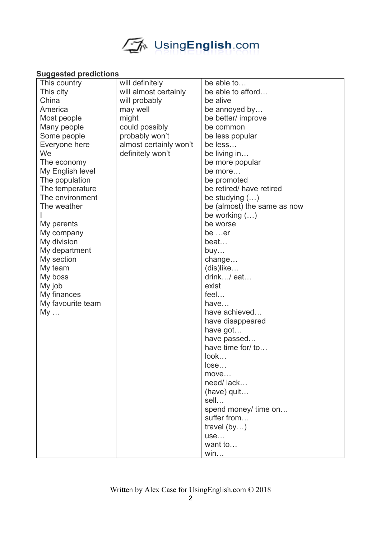

# **Suggested predictions**

| This country      | will definitely        | be able to                  |
|-------------------|------------------------|-----------------------------|
| This city         | will almost certainly  | be able to afford           |
| China             | will probably          | be alive                    |
| America           | may well               | be annoyed by               |
| Most people       | might                  | be better/ improve          |
| Many people       | could possibly         | be common                   |
| Some people       | probably won't         | be less popular             |
| Everyone here     | almost certainly won't | be less                     |
| We                | definitely won't       | be living in                |
| The economy       |                        | be more popular             |
| My English level  |                        | be more                     |
| The population    |                        | be promoted                 |
| The temperature   |                        | be retired/ have retired    |
| The environment   |                        | be studying $()$            |
| The weather       |                        | be (almost) the same as now |
|                   |                        | be working $()$             |
| My parents        |                        | be worse                    |
| My company        |                        | be er                       |
| My division       |                        | beat                        |
| My department     |                        | buy                         |
| My section        |                        | change                      |
| My team           |                        | $(dis)$ like                |
| My boss           |                        | drink/ eat                  |
| My job            |                        | exist                       |
| My finances       |                        | feel                        |
| My favourite team |                        | have                        |
| My                |                        | have achieved               |
|                   |                        | have disappeared            |
|                   |                        | have got                    |
|                   |                        | have passed                 |
|                   |                        | have time for/ to           |
|                   |                        | look                        |
|                   |                        | lose                        |
|                   |                        | move                        |
|                   |                        | need/lack                   |
|                   |                        | $(have)$ quit               |
|                   |                        | sell                        |
|                   |                        | spend money/ time on        |
|                   |                        | suffer from                 |
|                   |                        | travel $(by)$               |
|                   |                        | use                         |
|                   |                        | want to                     |
|                   |                        | win                         |